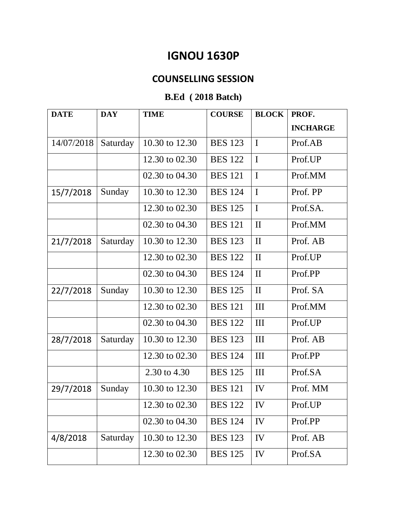## **IGNOU 1630P**

## **COUNSELLING SESSION**

## **B.Ed ( 2018 Batch)**

| <b>DATE</b> | <b>DAY</b> | <b>TIME</b>    | <b>COURSE</b>  | <b>BLOCK</b> | PROF.           |
|-------------|------------|----------------|----------------|--------------|-----------------|
|             |            |                |                |              | <b>INCHARGE</b> |
| 14/07/2018  | Saturday   | 10.30 to 12.30 | <b>BES 123</b> | $\mathbf I$  | Prof.AB         |
|             |            | 12.30 to 02.30 | <b>BES 122</b> | $\mathbf I$  | Prof.UP         |
|             |            | 02.30 to 04.30 | <b>BES 121</b> | $\mathbf I$  | Prof.MM         |
| 15/7/2018   | Sunday     | 10.30 to 12.30 | <b>BES 124</b> | $\mathbf I$  | Prof. PP        |
|             |            | 12.30 to 02.30 | <b>BES 125</b> | $\mathbf I$  | Prof.SA.        |
|             |            | 02.30 to 04.30 | <b>BES 121</b> | $\mathbf{I}$ | Prof.MM         |
| 21/7/2018   | Saturday   | 10.30 to 12.30 | <b>BES</b> 123 | $\mathbf{I}$ | Prof. AB        |
|             |            | 12.30 to 02.30 | <b>BES</b> 122 | $\mathbf{I}$ | Prof.UP         |
|             |            | 02.30 to 04.30 | <b>BES</b> 124 | $\mathbf{I}$ | Prof.PP         |
| 22/7/2018   | Sunday     | 10.30 to 12.30 | <b>BES 125</b> | $\mathbf{I}$ | Prof. SA        |
|             |            | 12.30 to 02.30 | <b>BES 121</b> | III          | Prof.MM         |
|             |            | 02.30 to 04.30 | <b>BES 122</b> | III          | Prof.UP         |
| 28/7/2018   | Saturday   | 10.30 to 12.30 | <b>BES 123</b> | III          | Prof. AB        |
|             |            | 12.30 to 02.30 | <b>BES 124</b> | III          | Prof.PP         |
|             |            | 2.30 to 4.30   | <b>BES 125</b> | III          | Prof.SA         |
| 29/7/2018   | Sunday     | 10.30 to 12.30 | <b>BES</b> 121 | IV           | Prof. MM        |
|             |            | 12.30 to 02.30 | <b>BES</b> 122 | IV           | Prof.UP         |
|             |            | 02.30 to 04.30 | <b>BES</b> 124 | IV           | Prof.PP         |
| 4/8/2018    | Saturday   | 10.30 to 12.30 | <b>BES 123</b> | IV           | Prof. AB        |
|             |            | 12.30 to 02.30 | <b>BES 125</b> | IV           | Prof.SA         |